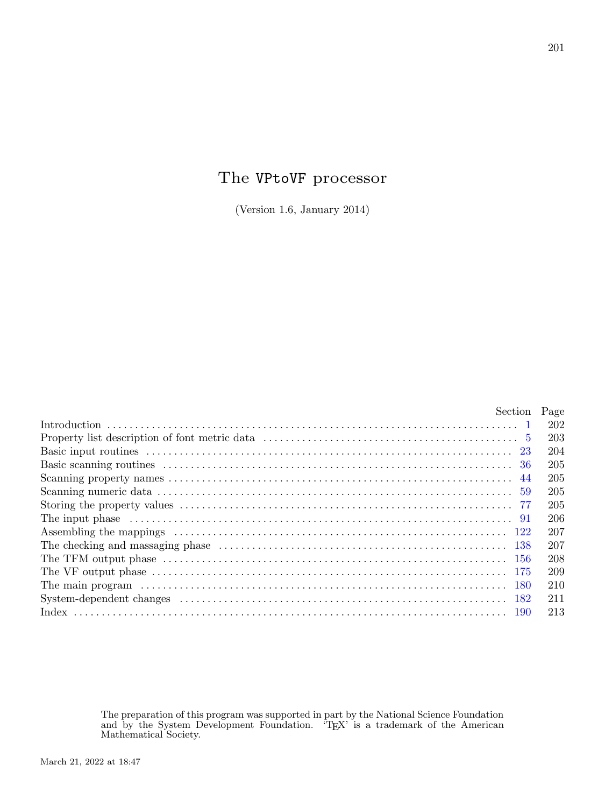# The VPtoVF processor

(Version 1.6, January 2014)

| Section Page                                                                                                                                                                                                                   |     |
|--------------------------------------------------------------------------------------------------------------------------------------------------------------------------------------------------------------------------------|-----|
|                                                                                                                                                                                                                                | 202 |
|                                                                                                                                                                                                                                | 203 |
|                                                                                                                                                                                                                                | 204 |
|                                                                                                                                                                                                                                | 205 |
|                                                                                                                                                                                                                                | 205 |
|                                                                                                                                                                                                                                | 205 |
|                                                                                                                                                                                                                                | 205 |
|                                                                                                                                                                                                                                | 206 |
|                                                                                                                                                                                                                                | 207 |
|                                                                                                                                                                                                                                | 207 |
|                                                                                                                                                                                                                                | 208 |
|                                                                                                                                                                                                                                | 209 |
| The main program (a) contain the contract of the main program (a) and the main program (b) and the main results of the main results of the main results of the main results of the main results of the main results of the mai | 210 |
|                                                                                                                                                                                                                                | 211 |
|                                                                                                                                                                                                                                | 213 |

The preparation of this program was supported in part by the National Science Foundation and by the System Development Foundation. 'T<sub>E</sub>X' is a trademark of the American<br>Mathematical Society.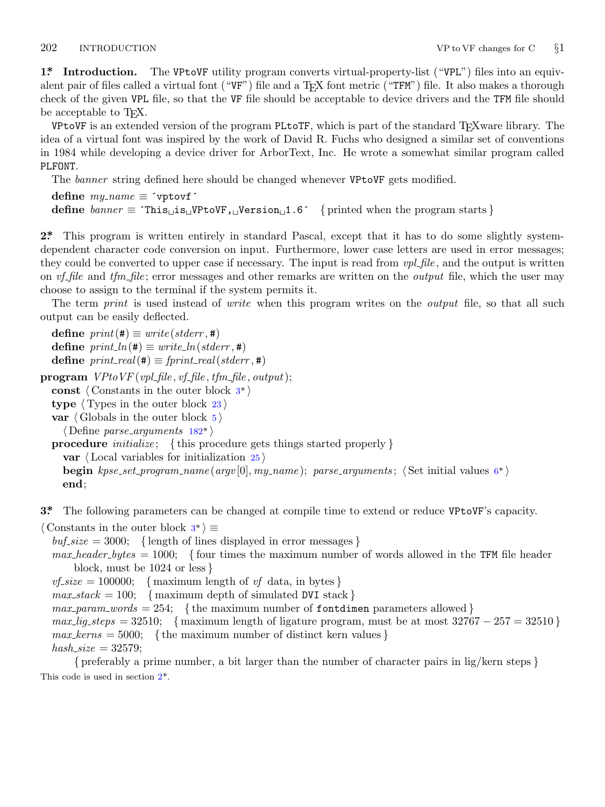<span id="page-1-0"></span>

**1\*. Introduction.** The VPtoVF utility program converts virtual-property-list ("VPL") files into an equivalent pair of files called a virtual font ("VF") file and a T<sub>E</sub>X font metric ("TFM") file. It also makes a thorough check of the given VPL file, so that the VF file should be acceptable to device drivers and the TFM file should be acceptable to T<sub>E</sub>X.

VPtoVF is an extended version of the program PLtoTF, which is part of the standard TEXware library. The idea of a virtual font was inspired by the work of David R. Fuchs who designed a similar set of conventions in 1984 while developing a device driver for ArborText, Inc. He wrote a somewhat similar program called PLFONT.

The *banner* string defined here should be changed whenever VPtoVF gets modified.

```
define \, my_name \equiv 'vptovf'define \text{banner} \equiv \text{This} \text{is} \text{with } V = \text{as} \text{or } V = \text{as} \text{or } V = \text{as} \text{or } V = \text{as} \text{or } V = \text{as} \text{or } V = \text{as} \text{or } V = \text{as} \text{or } V = \text{as} \text{or } V = \text{as} \text{or } V = \text{as} \text{or } V = \text{as} \text{or } V = \text{as} \text{or } V = \text{as} \text{or } V = \text{as} \text{or } V = \text{as} \text{or } V = \text{as} \
```
**2\*.** This program is written entirely in standard Pascal, except that it has to do some slightly systemdependent character code conversion on input. Furthermore, lower case letters are used in error messages; they could be converted to upper case if necessary. The input is read from *vpl file* , and the output is written on *vf file* and *tfm file* ; error messages and other remarks are written on the *output* file, which the user may choose to assign to the terminal if the system permits it.

The term *print* is used instead of *write* when this program writes on the *output* file, so that all such output can be easily deflected.

 $\text{define } print(\texttt{\#}) \equiv write(staterr, \texttt{\#})$  $\text{define } print\_ln(\texttt{\#}) \equiv write\_ln(\textit{stderr}, \texttt{\#})$  $\text{define } print\_ln(\texttt{\#}) \equiv write\_ln(\textit{stderr}, \texttt{\#})$  $\text{define } print\_ln(\texttt{\#}) \equiv write\_ln(\textit{stderr}, \texttt{\#})$  $\text{define } print\_real(\texttt{\#}) \equiv \text{fprint\_real}(\text{stderr}, \texttt{\#})$ **program**  $VP$ *to*  $VF$  ( $vpl$   $file$ *,*  $vf$   $file$ *,*  $tfm$   $file$ *,*  $output$ ); **const** *⟨* Constants in the outer block 3\* *⟩* **type** *⟨* Types in the outer block 23 *⟩* **var** *⟨* Globals in the outer block 5 *⟩ ⟨* Define *parse arguments* 182\* *⟩* **procedure** *initialize* ; *{* this procedure gets things started properly *}* **var** *⟨* Local variables for initialization 25 *⟩* **begin** *kpse set program name* (*argv* [0]*, my name* ); *parse arguments* ; *⟨* Set initial values 6\* *⟩* **end**;

**3\*.** The following parameters can be changed at compile time to extend or reduce VPtoVF's capacity.

*⟨* Constants in the outer block 3\* *⟩ ≡*

 $buf\_size = 3000;$  {length of lines displayed in error messages }

*max header bytes* = 1000; *{* four times the maximum number of words allowed in the TFM file header block, must be 1024 or less *}*

 $v f_s is i z e = 100000;$  { maximum length of *vf* data, in bytes }

 $max\_stack = 100; \{ maximum depth of simulated DVI stack \}$ 

 $max\_param\_words = 254$ ; {the maximum number of fontdimen parameters allowed}

 $max\_lig\_steps = 32510;$  { maximum length of ligature program, must be at most  $32767 - 257 = 32510$  }  $max\_terms = 5000;$  {the maximum number of distinct kern values}  $hash\_size = 32579;$ 

*{* preferably a prime number, a bit larger than the number of character pairs in lig/kern steps *}* This code is used in section 2\*.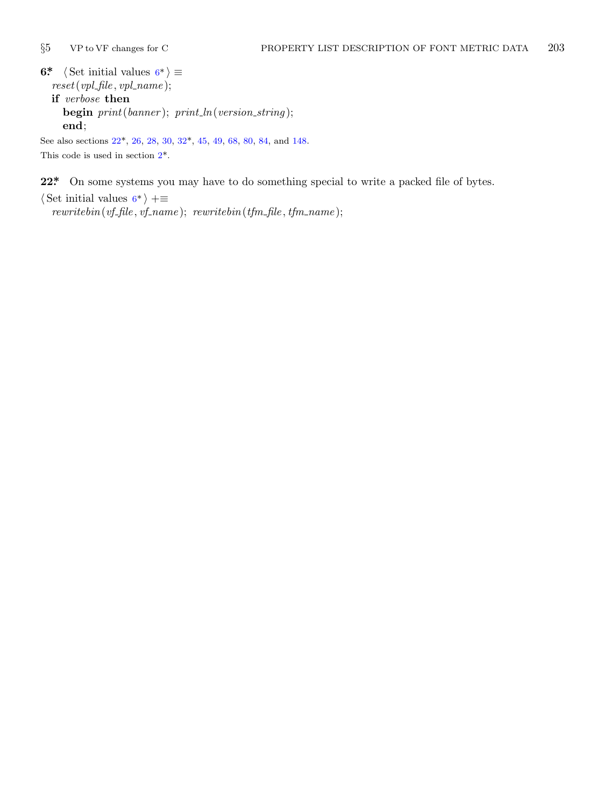<span id="page-2-0"></span>

**[6\\*](#page-1-0)**  $\langle$  Set initial values  $6^* \rangle \equiv$ *reset*(*vpl file , vpl name* ); **if** *verbose* **then begin** *print*(*banner* ); *print ln*(*version string* );

**end**;

See also sections 22\*, 26, 28, 30, 32\*, 45, 49, 68, 80, 84, and 148. This code is used in section 2\*.

**22\*.** On some systems you may have to do something special to write a packed file of bytes.

*⟨* Set initial values 6\* *⟩* +*≡*

*rewritebin*(*vf file , vf name* ); *rewritebin*(*tfm file , tfm name* );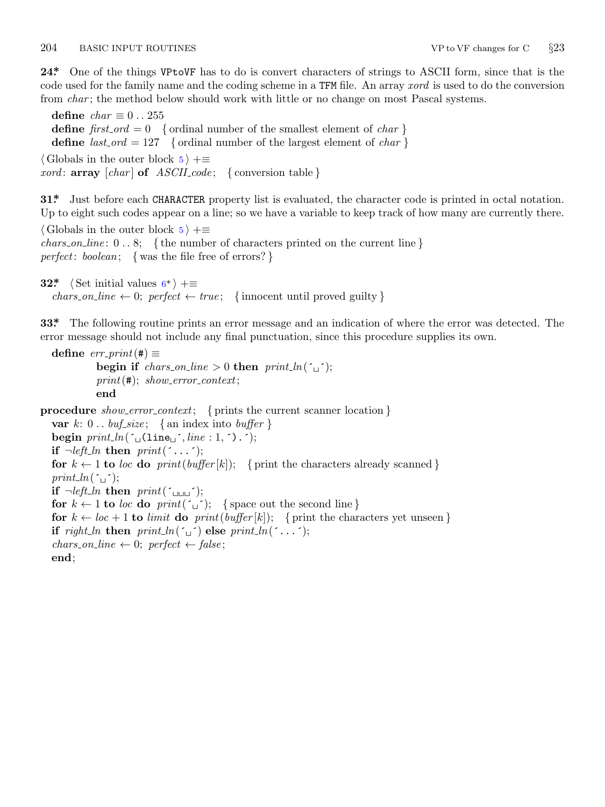## <span id="page-3-0"></span>204 BASIC INPUT ROUTINES VP to VF changes for C *§*23

**24\*.** One of the things VPtoVF has to do is convert characters of strings to ASCII form, since that is the code used for the family name and the coding scheme in a TFM file. An array *xord* is used to do the conversion from *char*; the method below should work with little or no change on most Pascal systems.

**define**  $char \equiv 0..255$ **define**  $first\_ord = 0$  { ordinal number of the smallest element of *char* } **define**  $last\_ord = 127$  { ordinal number of the largest element of *char* } *⟨* Globals in the outer block 5 *⟩* +*≡ xord* : **array** [*char* ] **of** *ASCII code* ; *{* conversion table *}*

**31\*.** Just before each C[HA](#page-2-0)RACTER property list is evaluated, the character code is printed in octal notation. Up to eight such codes appear on a line; so we have a variable to keep track of how many are currently there.

*⟨* Globals in the outer block 5 *⟩* +*≡*

*chars on line* : 0 *. .* 8; *{* the number of characters printed on the current line *} perfect*: *boolean*; *{* was the file free of errors? *}*

```
32* \langle Set initial values 6^* \rangle +≡
   \text{chars\_on\_line} \leftarrow 0; \text{ perfect} \leftarrow \text{true}; \{ \text{innocent until proved guilty} \}
```
**33\*.** The following routine prints an error message and an indication of where the error was detected. The error message should not include any final punctuation, since this procedure supplies its own.

```
\text{define } err\_print(\texttt{\#}) \equivbegin if chars_on_line > 0 then print\_ln(\tilde{\tau});
           print(#); show error context;
           end
```
procedure *show\_error\_context*; { prints the current scanner location } **var**  $k: 0$ ..  $\text{buf\_size}$ ; {an index into  $\text{buffer}$ } **begin**  $print\_ln(\lceil \frac{\cdot}{\cdot} \rfloor \cdot (line : 1, \rceil, \rceil))$ ; **if**  $\neg left\_ln$  **then**  $print(\uparrow \dots \uparrow);$ **for**  $k \leftarrow 1$  **to** *loc* **do**  $print(buffer[k])$ ; { print the characters already scanned }  $print\_ln(\ulcorner\!\!\lrcorner\urcorner);$ **if**  $\neg left\_ln$  **then**  $print(\uparrow \bot \bot \bot \cdot)$ ; **for**  $k \leftarrow 1$  **to** *loc* **do**  $print(\tilde{\theta})$ ; {space out the second line } **for**  $k \leftarrow loc + 1$  **to** *limit* **do**  $print(buffer[k])$ ; { print the characters yet unseen } **if**  $\text{right\_ln}$  **then**  $\text{print\_ln}(\lceil \cdot \rceil)$  **else**  $\text{print\_ln}(\lceil \cdot \rceil)$ ;  $chars\_on\_line \leftarrow 0; perfect \leftarrow false;$ **end**;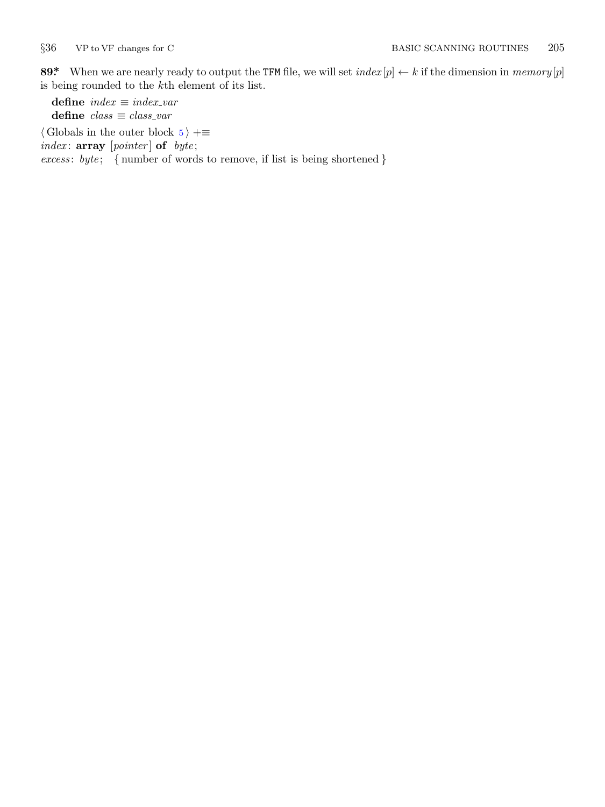<span id="page-4-0"></span>

89\* When we are nearly ready to output the TFM file, we will set  $index[p] \leftarrow k$  if the dimension in  $memory[p]$ is being rounded to the *k*th element of its list.

**define** *index ≡ index var* **define** *class ≡ class var*

*⟨* Globals in the outer block 5 *⟩* +*≡*

*index* : **array** [*pointer* ] **of** *byte* ;

*excess* : *byte* ; *{* number of words to remove, if list is being shortened *}*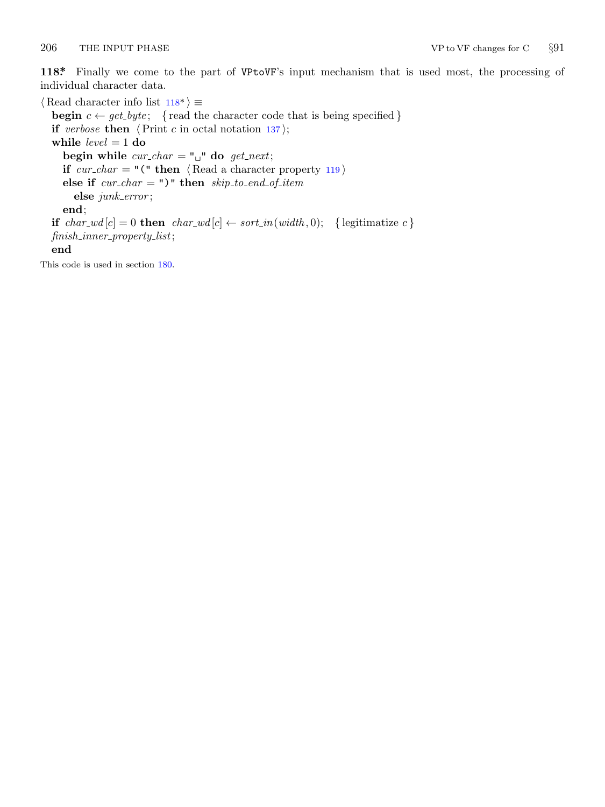<span id="page-5-0"></span>

**118\*.** Finally we come to the part of VPtoVF's input mechanism that is used most, the processing of individual character data.

*⟨* Read character info list 118\* *⟩ ≡* **begin**  $c \leftarrow get\_byte$ ; {read the character code that is being specified } **if** *verbose* **then**  $\langle$ Print *c* in octal notation 137 $\rangle$ ; **while** *level* = 1 **do begin while**  $cur\_char = " \sqcup"$  **do**  $get\_next;$ **if**  $cur\_char = "(" then \langle Read a character property 119 \rangle)$ **else if** *cur char* = ")" **then** *skip to end of item* **else** *junk error* ; **end**; **if**  $char\_wd[c] = 0$  **then**  $char\_wd[c] \leftarrow sort\_in(width, 0);$  {legitimatize  $c$ } *finish inner property list*; **end** This code is used in section 180.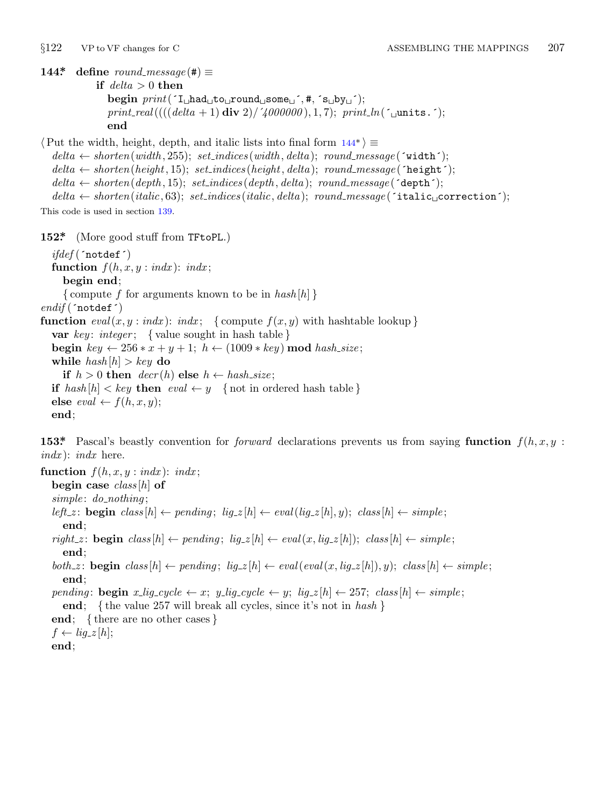<span id="page-6-0"></span>

**144\* define**  $round\_message(\textbf{\#}) \equiv$ 

**if** *delta >* 0 **then begin** *print*(´I␣had␣to␣round␣some␣´*,* #*,* ´s␣by␣´);  $print\_real(((delta + 1) \text{ div } 2) / \text{4000000}), 1, 7); \text{ } print\_ln(\text{1 units.}$ **end**

*⟨*Put the width, height, depth, and italic lists into final form 144\* *⟩ ≡*  $delta \leftarrow shorten(width, 255); set\_indices(width, delta); round\_message('width);$  $delta \leftarrow shorten(height, 15); set\_indices(height, delta); round\_message(\text{height}^{\prime});$  $delta \leftarrow shorten(depth, 15); set\_indices(depth, delta); round\_message(\text{`depth}^{-};$  $delta \leftarrow shorten (italic, 63); set\_indices (italic, delta); round\_message ('italic<sub>□</sub> correction');$ This code is used in section 139.

**152\*.** (More good stuff from TFtoPL.)

*ifdef* (´notdef´) **function**  $f(h, x, y : \text{ind}x)$ :  $\text{ind}x$ ; **begin end**; *{* compute *f* for arguments known to be in *hash* [*h*] *} endif* (´notdef´) **function**  $eval(x, y : \text{ind}x)$ :  $\text{ind}x$ ; {compute  $f(x, y)$  with hashtable lookup} **var** *key* : *integer* ; *{* value sought in hash table *}* **begin**  $key \leftarrow 256 * x + y + 1$ ;  $h \leftarrow (1009 * key) \text{ mod } hash\_size$ ; **while**  $hash[h] > key$  **do if**  $h > 0$  **then**  $decr(h)$  **else**  $h \leftarrow hash\_size$ ; **if**  $hash[h] < key$  **then**  $eval \leftarrow y$  {not in ordered hash table }  $\textbf{else } eval \leftarrow f(h, x, y);$ **end**;

**153\*** Pascal's beastly convention for *forward* declarations prevents us from saying **function**  $f(h, x, y)$ : *indx* ): *indx* here.

**function**  $f(h, x, y : \text{ind}x)$ :  $\text{ind}x$ ; **begin case** *class* [*h*] **of** *simple* : *do nothing* ; left\_z: **begin**  $class[h] \leftarrow pending; lig\_z[h] \leftarrow eval(lig\_z[h], y); class[h] \leftarrow simple;$ **end**; right\_z: **begin**  $class[h] \leftarrow pending; lig\_z[h] \leftarrow eval(x, lig\_z[h]); class[h] \leftarrow simple;$ **end**;  $both\_z: \textbf{begin } \textit{ class}[h] \leftarrow pending; \textit{ lig\_z}[h] \leftarrow eval(\textit{eval}(x, lig\_z[h]), y); \textit{class}[h] \leftarrow simple;$ **end**; pending: begin x\_lig\_cycle  $\leftarrow x$ ; y\_lig\_cycle  $\leftarrow y$ ; lig\_z[h]  $\leftarrow$  257; class[h]  $\leftarrow$  simple; **end**; *{* the value 257 will break all cycles, since it's not in *hash }*

**end**; *{* there are no other cases *}*  $f \leftarrow lig_zz[h];$ 

**end**;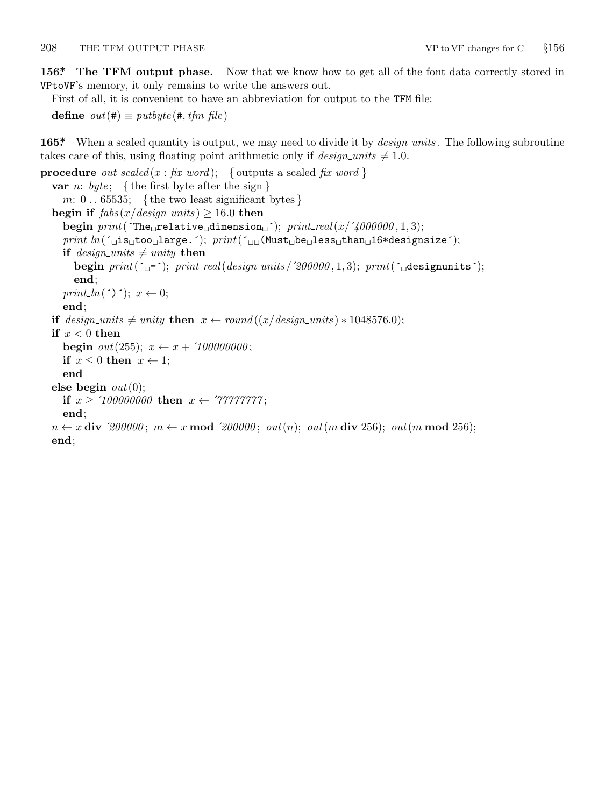<span id="page-7-0"></span>**156\*. The TFM output phase.** Now that we know how to get all of the font data correctly stored in VPtoVF's memory, it only remains to write the answers out.

First of all, it is convenient to have an abbreviation for output to the TFM file:

**define**  $out(\textbf{\#}) \equiv putbyte(\textbf{\#}, \textit{tfm}\_\textit{file})$ 

**165\*** When a scaled quantity is output, we may need to divide it by *design\_units*. The following subroutine takes care of this, using floating point arithmetic only if  $design\_units \neq 1.0$ .

```
procedure out_scaled (x : \text{fix\_word}); { outputs a scaled \text{fix\_word}}
   var n: byte ; { the first byte after the sign }
      m: 0 . . 65535; { the two least significant bytes }
   \text{begin if } \textit{fabs}(x/\textit{design\_units}) \geq 16.0 \text{ then}\text{begin } print(\text{The} \text{``relative} \text{''dimension}; \text{``interall}(x/4000000, 1, 3);print ln(´␣is␣too␣large.´); print(´␣␣(Must␣be␣less␣than␣16*designsize´);
      if design\_units \neq unity then
          begin print(\neg -); print(\neg -); print(\neg -); print(\neg -); print(\neg -); print(\neg -); print(\neg -); print(\neg -); print(\neg -); print(\neg -); print(\neg -); print(\neg -); print(\neg -); print(\neg -); print(\neg -); print(\neg -); print(\neg -); print(\neg -); print(\neg -); print(\neg -); print(\neg -); print(\neg -); print(\neg -); print(\neg -)end;
      print_ln(´)´); x \leftarrow 0;
      end;
   if design\_units \neq unity then x \leftarrow round((x/design\_units) * 1048576.0);if x < 0 then
      begin out(255); x \leftarrow x + '100000000;if x \leq 0 then x \leftarrow 1;
      end
   else begin out(0);
      if x \ge 100000000 then x \leftarrow 777777777;
      end;
   n ← x div '200000; m ← x mod '200000; out(n); out(m \textbf{ div } 256); out(m \textbf{ mod } 256);
   end;
```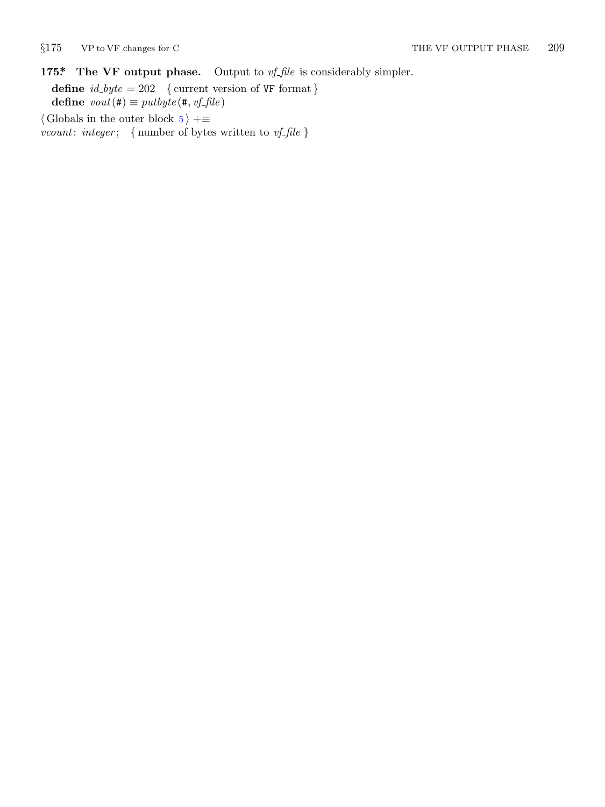<span id="page-8-0"></span>

# **175\*. The VF output phase.** Output to *vf file* is considerably simpler.

**define**  $id\_byte = 202$  { current version of VF format } **define**  $vout(\textbf{\#}) \equiv putbyte(\textbf{\#}, vf\text{-}file)$ *⟨* Globals in the outer block 5 *⟩* +*≡*

*vcount*: *integer* ; *{* number of bytes written to *vf file }*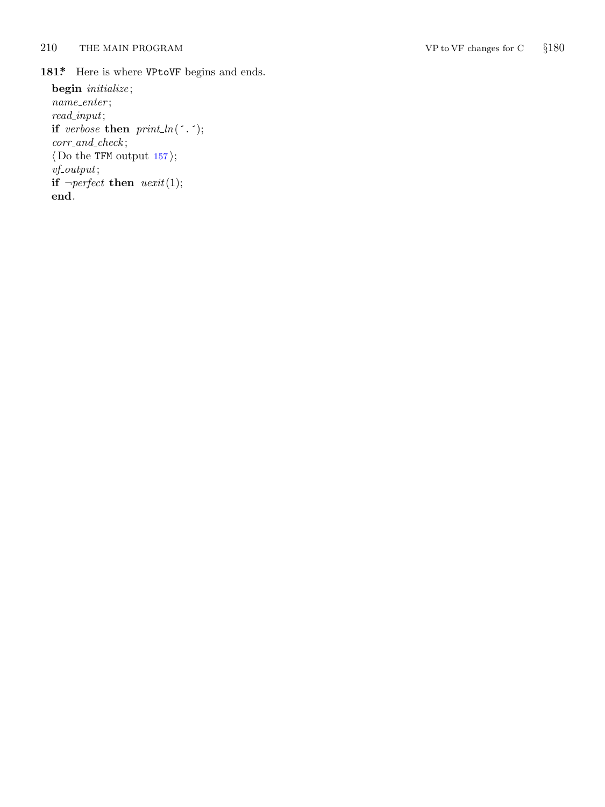<span id="page-9-0"></span>210 THE MAIN PROGRAM VP to VF changes for C

*§*180

181\* Here is where VPtoVF begins and ends.

**begin** *initialize* ; *name enter* ; *read input* ; **if** *verbose* **then**  $print\_ln($ *corr and check* ; *⟨* Do the TFM output 157 *⟩* ; *vf output* ; **if**  $\neg perfect$  **then**  $\text{uexit}(1);$ **end** .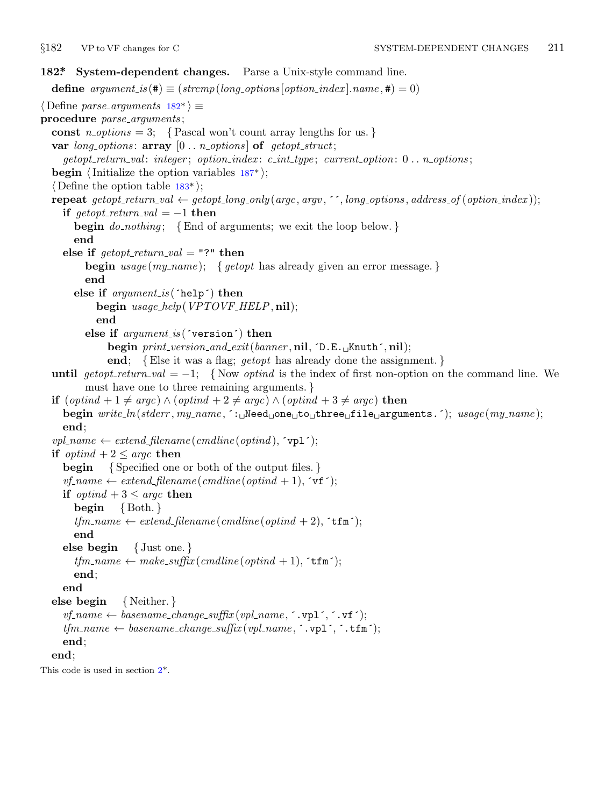<span id="page-10-0"></span>

```
182*. System-dependent changes. Parse a Unix-style command line.
  define options[option\_index].name, \textbf{\#}) = 0)⟨ Define parse arguments 182* ⟩ ≡
procedure parse arguments ;
  const n\text{-}options = 3; \{ Pascal won't count array lengths for us. \}var long options : array [0 . . n options ] of getopt struct;
     getopt return val : integer ; option index : c int type ; current option: 0 . . n options ;
  begin ⟨Initialize the option variables 187* ⟩;
  ⟨ Define the option table 183* ⟩;
  repeat getopt_return_val \leftarrow getopt_long_only(argc, argv, '', long_options, address_of(option_index));
    if \text{get} \text{opt}\text{-} \text{return}\text{-}\text{val} = -1 then
       begin do nothing ; {End of arguments; we exit the loop below. }
       end
    else if \text{getopt-return\_val} = "?" then
         begin usage (my name ); { getopt has already given an error message. }
         end
       else if argument is (´help´) then
            begin usage help(VPTOVF HELP, nil);
            end
         else if argument is (´version´) then
              begin print version and exit(banner , nil, ´D.E.␣Knuth´, nil);
              end; {Else it was a flag; getopt has already done the assignment. }
  until getopt\_return\_val = -1; {Now optind is the index of first non-option on the command line. We
         must have one to three remaining arguments. }
  if (optind + 1 ̸= argc) ∧ (optind + 2 ̸= argc) ∧ (optind + 3 ̸= argc) then
    begin write ln(stderr , my name , ´:␣Need␣one␣to␣three␣file␣arguments.´); usage (my name );
    end;
  vpl_name \leftarrow extend\_filename(cmdline(optind), \text{`vpl`});if \text{optind} + 2 \leq \text{argc} then
    begin { Specified one or both of the output files. }
    vf-name \leftarrow extend_filename (cmdline (optind + 1), \forallr \cdot);
    if \text{optind} + 3 \leq \text{argc} then
       begin { Both. }
       tfm_name \leftarrow extend_filename(cmdline(optind + 2), \text{`tfm'});end
    else begin { Just one. }
       tfm_name \leftarrow make\_suffix(cmdline(optind + 1), \text{`tfm'});end;
    end
  else begin { Neither. }
    vf_name \leftarrow basename_change_suffix (vpl_name, \cdot .vpl\cdot, \cdotvf\cdot);
    tfm_name \leftarrow \text{basename\_change\_suffix}(\text{vpl_name}, \text{`.vpl`, `.tfm`});end;
  end;
This code is used in section 2*.
```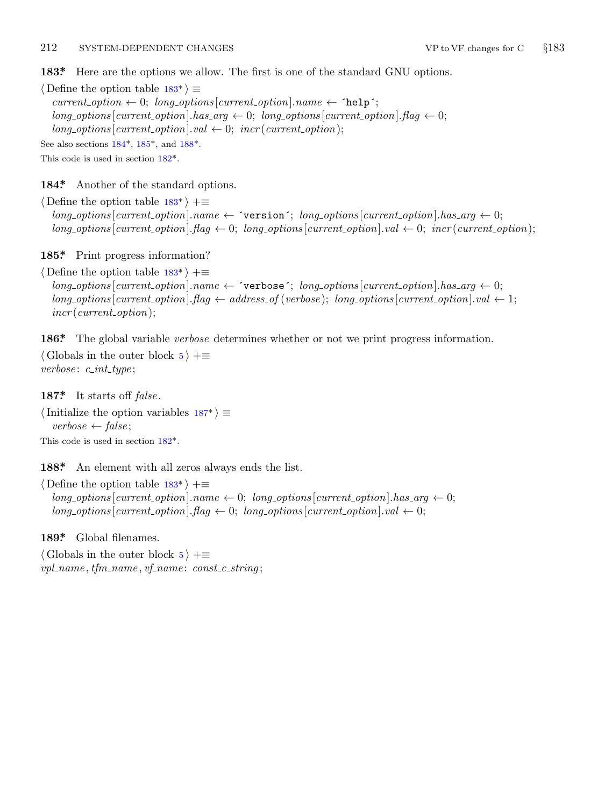## <span id="page-11-0"></span>212 SYSTEM-DEPENDENT CHANGES VP to VF changes for C *§*183

**183\*.** Here are the opt[ions](#page-10-0) we allow. The first is one of the standard GNU options.

*⟨* Define the option table 183\* *⟩ ≡*  $current\_option \leftarrow 0; long\_options[current\_option].name \leftarrow 'help';$  $long\_options[current\_option].has\_arg \leftarrow 0; long\_options[current\_option].flag \leftarrow 0;$  $long\_\textit{options}$  [*current\_option*]*.val*  $\leftarrow$  0; *incr* (*current\_option*); See also sections 184\*, 185\*, and 188\*.

This code is used in section 182\*.

**184\*.** Another of the standard options.

*⟨* Define the option table 183\* *⟩* +*≡*  $long\_options[current\_option].name \leftarrow 'version'; long\_options[current\_option].has\_arg \leftarrow 0;$  $long\_options$  [current\_option].  $flag \leftarrow 0$ ;  $long\_options$  [current\_option].  $val \leftarrow 0$ ;  $incr$  (current\_option);

**185\*.** Print progress information?

*⟨* Define the option table 183\* *⟩* +*≡*  $long\_options[current\_option].name \leftarrow 'verpose'; long\_options[current\_option].has_arg \leftarrow 0;$  $long-options$  [*current\_option*]*.flag*  $\leftarrow$  *address\_of* (*verbose*); *long\_options* [*current\_option*]*.val*  $\leftarrow$  1; *incr* (*current option*);

**186\*.** The global variable *verbose* determines whether or not we print progress information. *⟨* Globals in the outer bl[ock](#page-10-0) 5 *⟩* +*≡ verbose* : *c int type* ;

**187\*.** It starts off *false* .

*⟨*Initialize the option variables 187\* *⟩ ≡ verbose ← false* ; This code is used in section 182\*.

188<sup>\*</sup> An element with all zeros always ends the list.

*⟨* Define the option table 183\* *⟩* +*≡*  $long\_options$  [*current\_option*]*.name*  $\leftarrow 0$ ; *long\_options* [*current\_option*]*.has\_arg*  $\leftarrow 0$ ;  $long\_options[current\_option]$ *.*  $flag \leftarrow 0$ ;  $long\_options[current\_option]$ *.*  $val \leftarrow 0$ ;

**189\*.** Global filenames.

*⟨* Globals in the outer block 5 *⟩* +*≡ vpl name , tfm name , vf name* : *const c string* ;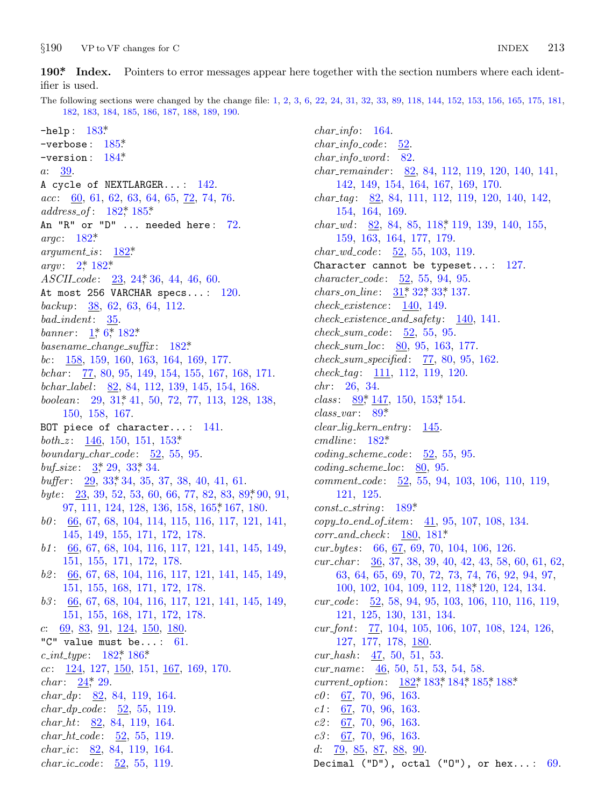<span id="page-12-0"></span> $§190$ VP to VF changes for C

 $190<sup>*</sup>$  Index. Pointers to error messages appear here together with the section numbers where each identifier is used.

The following sections were changed by the change file: 1, 2, 3, 6, 22, 24, 31, 32, 33, 89, 118, 144, 152, 153, 156, 165, 175, 181, 182, 183, 184, 185, 186, 187, 188, 189, 190.

 $-$ help:  $183*$  $-$ verbose:  $185$ <sup>\*</sup>  $-version: 184*$  $a: 39.$ A cycle of NEXTLARGER...: 142.  $acc: 60, 61, 62, 63, 64, 65, 72, 74, 76.$  $address\_of: 182^*185^*$ An "R" or "D" ... needed here: 72. argc:  $182^*$  $argument_is: 182*$  $argv: 2^* 182^*$  $ASCII\ code: 23, 24, 36, 44, 46, 60.$ At most 256 VARCHAR specs...: 120. backup:  $\frac{38}{62}$ , 62, 63, 64, 112.  $bad\_indent: 35.$ banner:  $1, 6, 182$ \* basename\_change\_suffix:  $182^*$ bc:  $158, 159, 160, 163, 164, 169, 177.$ bchar: 77, 80, 95, 149, 154, 155, 167, 168, 171. bchar\_label: 82, 84, 112, 139, 145, 154, 168. boolean: 29, 31, 41, 50, 72, 77, 113, 128, 138, 150, 158, 167. BOT piece of character...:  $141$ . *both\_z*:  $\underline{146}$ , 150, 151, 153\* boundary\_char\_code:  $52, 55, 95$ . buf\_size:  $3, 29, 33, 34$ . buffer:  $29, 33, 34, 35, 37, 38, 40, 41, 61$ . byte:  $\frac{23}{3}$ , 39, 52, 53, 60, 66, 77, 82, 83, 89, 90, 91, 97, 111, 124, 128, 136, 158, 165, 167, 180.  $b0: 66, 67, 68, 104, 114, 115, 116, 117, 121, 141,$ 145, 149, 155, 171, 172, 178.  $b1: 66, 67, 68, 104, 116, 117, 121, 141, 145, 149,$ 151, 155, 171, 172, 178. 62: 66, 67, 68, 104, 116, 117, 121, 141, 145, 149, 151, 155, 168, 171, 172, 178.  $b3: 66, 67, 68, 104, 116, 117, 121, 141, 145, 149,$ 151, 155, 168, 171, 172, 178.  $c: 69, 83, 91, 124, 150, 180.$ "C" value must be...:  $61$ . c\_int\_type:  $182$ <sup>\*</sup>,  $186$ <sup>\*</sup>  $cc: \underline{124}, 127, \underline{150}, 151, \underline{167}, 169, 170.$ *char*:  $24$ <sup>\*</sup>, 29. *char\_dp*:  $\underline{82}$ , 84, 119, 164. *char\_dp\_code:*  $52, 55, 119$ .  $char_-ht: 82, 84, 119, 164.$ *char\_ht\_code*:  $\underline{52}$ , 55, 119. *char\_ic*:  $82, 84, 119, 164$ . *char\_ic\_code*:  $52, 55, 119$ .

 $char\_info: 164.$  $char\_info\_code$ :  $52.$  $char\_info\_word: 82$ .  $char\_remainder:$  82, 84, 112, 119, 120, 140, 141, 142, 149, 154, 164, 167, 169, 170. *char\_tag*:  $82$ , 84, 111, 112, 119, 120, 140, 142, 154, 164, 169. *char\_wd:*  $82, 84, 85, 118, 119, 139, 140, 155,$ 159, 163, 164, 177, 179. *char\_wd\_code:*  $\underline{52}$ , 55, 103, 119. Character cannot be typeset...:  $127$ .  $character\_code: 52, 55, 94, 95.$ *chars\_on\_line:*  $31$ <sup>\*</sup>,  $32$ <sup>\*</sup>,  $33$ <sup>\*</sup>, 137.  $check\_existence: 140, 149.$  $check\_existence\_and\_safety: \quad \underline{140}, \, 141.$  $check\_sum\_code$ :  $52, 55, 95$ .  $check\_sum\_loc: 80, 95, 163, 177.$  $check\_sum\_specified: 77, 80, 95, 162.$  $check\_tag: 111, 112, 119, 120.$  $chr: 26, 34.$ *class:*  $89, 147, 150, 153, 154.$  $class\_var: 89*$  $clear\_lig\_kern\_entry: \underline{145}.$  $cmdline: 182^*$  $coding\_scheme\_code: 52, 55, 95.$  $coding\_scheme\_loc: 80, 95.$  $comment\_code: 52, 55, 94, 103, 106, 110, 119,$ 121, 125.  $const_c\_string: 189^*$  $copy_to\_end_of\_item: \underline{41}, 95, 107, 108, 134.$  $corr_and\_check: 180, 181*$  $cur_bytes: 66, 67, 69, 70, 104, 106, 126.$ cur\_char:  $\frac{36}{37}$ , 38, 39, 40, 42, 43, 58, 60, 61, 62, 63, 64, 65, 69, 70, 72, 73, 74, 76, 92, 94, 97, 100, 102, 104, 109, 112, 118, 120, 124, 134. cur\_code:  $\frac{52}{52}$ , 58, 94, 95, 103, 106, 110, 116, 119, 121, 125, 130, 131, 134. cur\_font:  $\frac{77}{104}$ , 104, 105, 106, 107, 108, 124, 126, 127, 177, 178, 180.  $cur\_hash: 47, 50, 51, 53.$ cur\_name:  $\frac{46}{50}$ , 50, 51, 53, 54, 58. *current\_option*:  $182$ <sup>\*</sup>,  $183$ <sup>\*</sup>,  $184$ <sup>\*</sup>,  $185$ <sup>\*</sup>,  $188$ <sup>\*</sup>  $c0: 67, 70, 96, 163.$  $c1: 67, 70, 96, 163.$  $c2: 67, 70, 96, 163.$  $c3: 67, 70, 96, 163.$  $d: 79, 85, 87, 88, 90.$ Decimal ("D"), octal ("0"), or hex...:  $69$ .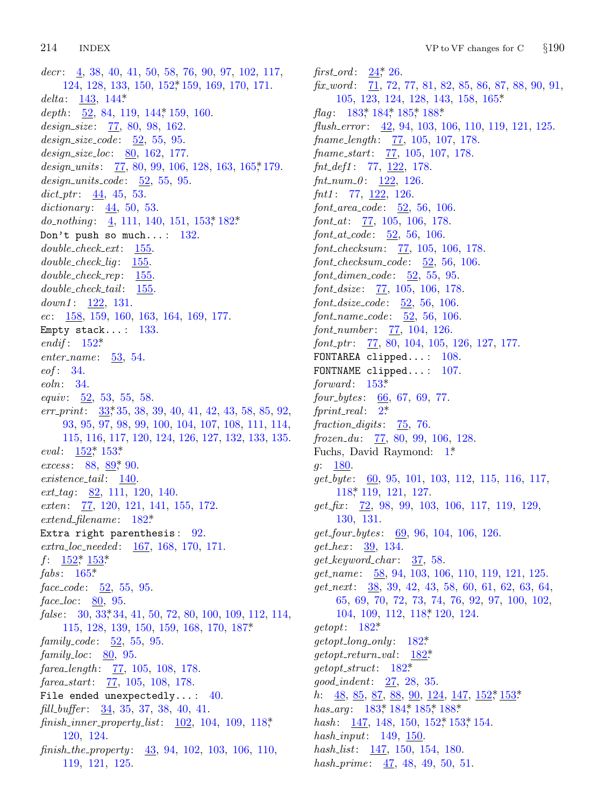*decr* : 4, 38, 40, 41, 50, 58, 76, 90, 97, 102, 117, 124, 128, 133, 150, 152\*, 159, 169, 1[70,](#page-7-0) 171. *delta* : 143, 144\*. depth: 52, 84, 119, 144, 159, 160. *design\_size* : 77, 80, 98, 162. *design size code* : 52, 55, 95. *design size loc*: 80, 162, 177. *design units* : 77, 80, 99, 106, 128, 163, 165\*, 179. *design units code* : 52, 55, 95. *dict ptr* : 44, 45, 53. *dictionary* : 44, 50, 53. *do\_nothing*: <u>4</u>, 111, 140, 151, 153, \*\* 182\*. Don't push so much...:  $132$ . *double check ext*: 155. *double c[heck](#page-6-0) lig* : 155. *double check rep*: 155. *double check tail* : 155. *down1* : 122, 131. *ec*: 158, 159, 160, 163, 164, 169, 177. Empty sta[ck.](#page-3-0)..:  $133$ . *endif* : 152\*. *enter name* : 53, 54. *eof* : [34.](#page-6-0) *eoln*: 34. *equiv* : 52, 53, 55, 58. *err print*: 33\*, 35, 38, 39, 40, 41, 42, 43, 58, 85, 92, 93, 95, 97, 98, 99, 100, 104, 107, 108, 111, 114, 115, 116, 117, [120](#page-10-0), 124, 126, 127, 132, 133, 135. *eval*:  $152^*$  153\* *excess*: 88, <u>89</u>\*, 90. *exis[tence](#page-6-0) [tail](#page-6-0)* : 140. *ext tag* : [8](#page-7-0)2, 111, 120, 140. *exten*: 77, 120, 121, 141, 155, 172. *extend filename* : 182\*. Extra rig[ht](#page-3-0) parenthesis: 92. *extra loc needed* : 167, 168, 170, 171.  $f: \quad \underline{152}^*, \; \underline{153}^*$ *fabs* : 165\*. *face code* : 52, 55, 95. *face loc*: 80, 95. false: 30, 33, 34, 41, 50, 72, 80, 100, 109, 112, 114, 115, 128, 139, 150, 159, 168, 170, 187\*. *family code* : 52, 55, 95. *family loc*: 80, 95. *farea length* : 77, 105, 108, 178. *farea start*: 77, 105, 108, 178. File ended unexpectedly...:  $40.$ *fill buffer* : 34, 35, 37, 38, 40, 41. *finish inner property list*: 102, 104, 109, 118\*, 120, 124. *finish the property* : 43, 94, 102, 103, 106, 110, 119, 121, 125.

*first\_ord* :  $24$ <sup>\*</sup>, 26. *fix\_word*:  $\overline{71}$ , 72, 77, 81, 82, 85, 86, 87, 88, 90, 91, 105, 123, 124, 128, 143, 158, 165\*. *flag*: 183\*, 184\*, 185\*, 188\*. *flush error* : 42, 94, 103, 106, 110, 119, 121, 125. *fname length* : 77, 105, 107, 178. *fname start*: 77, 105, 107, 178. *fnt def1* : 77, 122, 178. *fnt num 0* : 122, 126. *fnt1* : 77, 122, 126. *font area code* : 52, 56, 106. *font at*: 77, 105, 106, 178. *font at code* : 52, 56, 106. *font\_checksum*: 77, 105, 106, 178. *font checksum code* : 52, 56, 106. *font dimen code* : 52, 55, 95. *font dsize* : 77, 105, 106, 178. *font dsize [code](#page-6-0)* : 52, 56, 106. *font name code* : 52, 56, 106. *font number* : 77, 104, 126. *font ptr* : 77, 80, 104, 105, 126, 127, 177. FONTAREA clipped...: 108. FONTNAME clipped...: [10](#page-1-0)7. *forward* : 153\*. *four bytes* : 66, 67, 69, 77. *fprint [re](#page-5-0)al* : 2\*. *fraction digits* : 75, 76. *frozen du*: 77, 80, 99, 106, 128. Fuchs, David Raymond: 1\*. *g*: 180. *get byte* : 60, 95, 101, 103, 112, 115, 116, 117, 118\*, 119, 121, 127. *get fix* : 72, 98, 99, 103, 106, 117, 119, 129, 130, 131. *get four bytes* : 69, [96,](#page-5-0) 104, 106, 126. *get hex* : [39,](#page-10-0) 134. *get keyword char* : [37,](#page-10-0) 58. *get name* : 58, 94, [103,](#page-10-0) 106, 110, 119, 121, 125. *get next*: 38, [39,](#page-10-0) 42, 43, 58, 60, 61, 62, 63, 64, 65, 69, 70, 72, 73, 74, 76, 92, 97, 100, 102, 104, 109, 112, 118\*, 120, 12[4.](#page-6-0) *getopt*: [182\\*.](#page-11-0) *getopt long only* : 182[\\*.](#page-6-0) *getopt return val* : 182\*. *getopt struct*: 182\*. *good indent*: 27, 28, 35. *h*: <u>48, 85, 87, 88, 90, 124, 147, 152</u>\*, 153\* *has\_arg*: 183\*, 184\*, 185\*, 188\*. *hash*: 147, 148, 150, 152, 153, 154. *hash input*: 149, 150. *hash list*: 147, 150, 154, 180. *hash prime* : 47, 48, 49, 50, 51.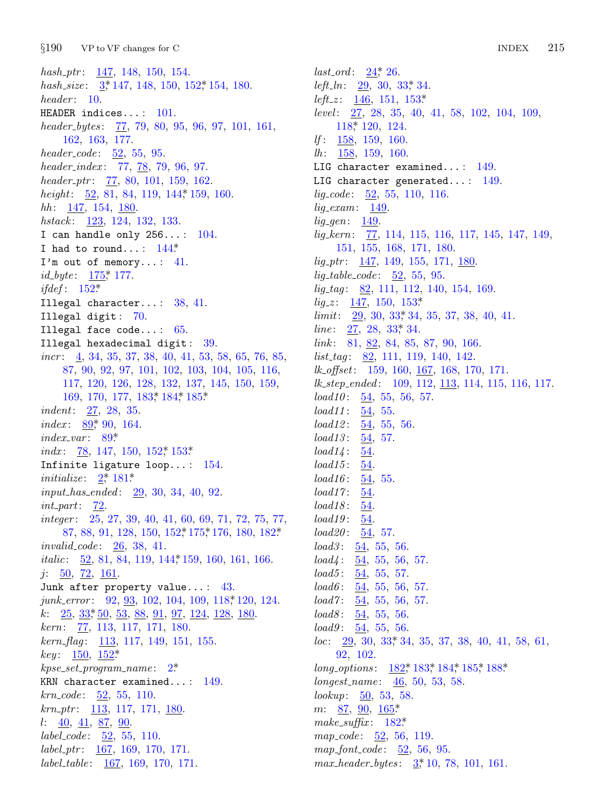$§190$ VP to VF changes for C

 $hash_ptr: 147, 148, 150, 154.$ hash\_size:  $3,147,148,150,152,154,180$ .  $header: 10.$ HEADER indices...:  $101$ . header\_bytes: 77, 79, 80, 95, 96, 97, 101, 161, 162, 163, 177. header\_code:  $52, 55, 95$ . header\_index: 77, 78, 79, 96, 97. header\_ptr:  $77, 80, 101, 159, 162$ . height:  $\frac{52}{52}$ , 81, 84, 119, 144, 159, 160.  $hh: 147, 154, 180$ hstack: 123, 124, 132, 133. I can handle only  $256...: 104$ . I had to round...:  $144*$ I'm out of memory...:  $41$ .  $id\_byte: 175^*177.$ *ifdef*:  $152^*$ Illegal character...:  $38, 41$ . Illegal digit: 70. Illegal face code...:  $65$ . Illegal hexadecimal digit: 39. *incr*:  $\frac{4}{3}$ , 34, 35, 37, 38, 40, 41, 53, 58, 65, 76, 85, 87, 90, 92, 97, 101, 102, 103, 104, 105, 116, 117, 120, 126, 128, 132, 137, 145, 150, 159, 169, 170, 177, 183, 184, 185\* *indent:*  $27, 28, 35$ . index:  $89,90,164$ .  $index\_var: 89*$ *indx*: 78, 147, 150, 152<sup>\*</sup> 153<sup>\*</sup> Infinite ligature loop...:  $154$ . initialize:  $2^* 181^*$ *input\_has\_ended:* 29, 30, 34, 40, 92.  $int_{\mathbb{R}} part: \quad \underline{72}.$ *integer*:  $25, 27, 39, 40, 41, 60, 69, 71, 72, 75, 77,$ 87, 88, 91, 128, 150, 152, 175, 176, 180, 182\* *invalid\_code*:  $26, 38, 41$ . *italic*: 52, 81, 84, 119, 144, 159, 160, 161, 166.  $j: 50, 72, 161.$ Junk after property value...:  $43$ .  $junk_error: 92, 93, 102, 104, 109, 118, 120, 124.$ k:  $25, 33, 50, 53, 88, 91, 97, 124, 128, 180$  $kern: 77, 113, 117, 171, 180.$  $\textit{kern\_flag}:$  113, 117, 149, 151, 155. *key*:  $150, 152^*$  $kpc\_set\_program\_name: 2^*$ KRN character examined...:  $149$ .  $krn\_code: 52, 55, 110.$  $krn\_ptr$ : 113, 117, 171, 180.  $l: \underline{40}, \underline{41}, \underline{87}, \underline{90}.$ *label\_code*:  $\underline{52}$ , 55, 110.  $label\_ptr:167, 169, 170, 171.$  $label\_table:167, 169, 170, 171.$ 

*last\_ord*:  $24$ <sup>\*</sup>, 26. *left\_ln:*  $29, 30, 33, 34.$ *left\_z*:  $146$ ,  $151$ ,  $153*$ level: 27, 28, 35, 40, 41, 58, 102, 104, 109, 118\* 120, 124. *lf*:  $\frac{158}{159}$ , 159, 160.  $lh: \quad \underline{158}, \; 159, \; 160.$ LIG character examined...:  $149$ . LIG character generated...:  $149$ .  $lig\_code: 52, 55, 110, 116.$  $lig\_exam: 149$ .  $lig\_\$   $\qquad 149$ .  $lig\text{-}kern: 77, 114, 115, 116, 117, 145, 147, 149,$ 151, 155, 168, 171, 180.  $lig\_ptr$ : 147, 149, 155, 171, 180.  $lig\_table\_code: 52, 55, 95.$  $lig\_tag: 82, 111, 112, 140, 154, 169.$  $lig\_z: \quad \underline{147}, \; 150, \; 153^*$  $limit: 29, 30, 33, 34, 35, 37, 38, 40, 41.$ *line*:  $27, 28, 33, 34$ . link: 81, 82, 84, 85, 87, 90, 166.  $list\_tag: 82, 111, 119, 140, 142.$ lk\_offset: 159, 160, 167, 168, 170, 171.  $lk\_step\_ended: 109, 112, 113, 114, 115, 116, 117.$  $load10: 54, 55, 56, 57.$  $load11: \underline{54}, 55.$  $load12: 54, 55, 56.$  $load13: 54, 57.$  $load14:$ 54.  $load15$ : 54.  $load16: \underline{54}, 55.$  $54.$  $load17:$  $load18: 54$ .  $load19: 54.$  $load20: 54, 57.$  $load3:$  $\frac{54}{5}, 55, 56.$  $load4: 54, 55, 56, 57.$  $load5: 54, 55, 57.$  $load6:$ 54, 55, 56, 57. *load* $7: \frac{54}{9}, 55, 56, 57.$  $load8: 54, 55, 56.$  $load9: 54, 55, 56.$  $loc: \quad 29, 30, 33, 34, 35, 37, 38, 40, 41, 58, 61,$ 92, 102. long\_options: 182, 183, 184, 185, 188. longest\_name:  $46, 50, 53, 58$ . lookup:  $\frac{50}{50}$ , 53, 58.  $m: 87, 90, 165$ \* make\_suffix:  $182^*$  $map\_code: 52, 56, 119.$  $map_{font_{code}}: 52, 56, 95.$ 

 $max\_header\_bytes: \frac{3*}{10}, 78, 101, 161.$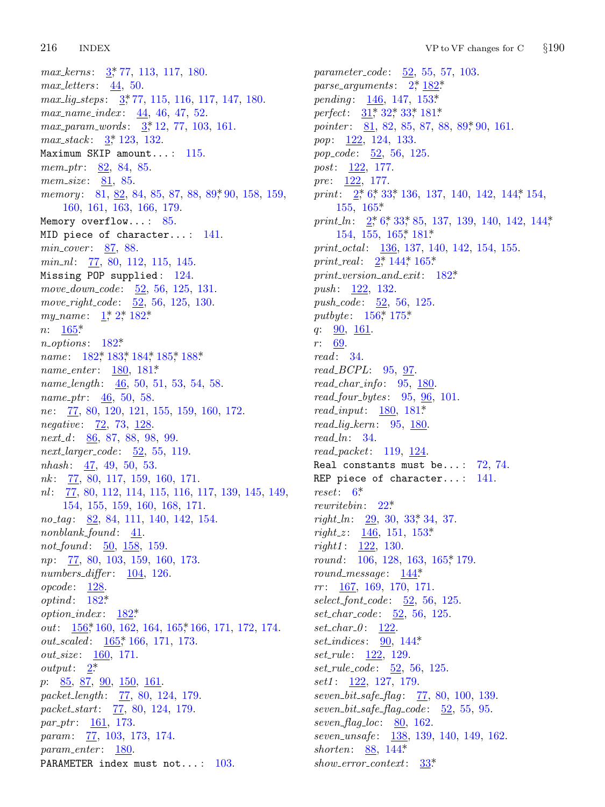#### 216 **INDEX**

max\_kerns: 3,\* 77, 113, 117, 180.  $max\_letters: \underline{44}, 50.$  $max\_lig\_steps: \frac{3*}{77}, 115, 116, 117, 147, 180.$ max\_name\_index: 44, 46, 47, 52.  $max\_param\_words: \frac{3}{2}, 12, 77, 103, 161.$  $max\_stack: \frac{3}{2}, 123, 132.$ Maximum SKIP amount...:  $115$ . mem\_ptr:  $82, 84, 85$ . *mem\_size*:  $81, 85$ . *memory*: 81, 82, 84, 85, 87, 88, 89, 90, 158, 159, 160, 161, 163, 166, 179. Memory overflow...:  $85$ . MID piece of character...: 141.  $min\_cover: 87, 88.$  $min\_nl$ :  $77, 80, 112, 115, 145.$ Missing POP supplied: 124. move\_down\_code: 52, 56, 125, 131. move\_right\_code:  $52, 56, 125, 130$ . my\_name:  $1, 2, 182$ \*  $n: 165*$  $n\_options: 182*$ name: 182\*, 183\*, 184\*, 185\*, 188\* *name\_enter*:  $180, 181*$ name\_length:  $\frac{46}{50}$ , 50, 51, 53, 54, 58. name\_ptr:  $\frac{46}{50}$ , 50, 58. ne: 77, 80, 120, 121, 155, 159, 160, 172. *negative*: 72, 73, 128.  $next_d$ : 86, 87, 88, 98, 99.  $next\_\n{larger\_\n{code}:}$  52, 55, 119.  $nhash: 47, 49, 50, 53.$  $nk: 77, 80, 117, 159, 160, 171.$ nl: 77, 80, 112, 114, 115, 116, 117, 139, 145, 149, 154, 155, 159, 160, 168, 171. no<sub>-taq</sub>: 82, 84, 111, 140, 142, 154.  $nonblank\_found: 41.$ not\_found: 50, 158, 159. np: 77, 80, 103, 159, 160, 173.  $numbers\_differ: 104, 126.$  $opcode: 128.$  $optind: 182*$ option\_index:  $182^*$ out: 156,\* 160, 162, 164, 165,\* 166, 171, 172, 174. *out\_scaled:*  $165$ <sup>\*</sup>, 166, 171, 173. *out\_size*: 160, 171. *output*:  $2^*$  $p: \underline{85}, \underline{87}, \underline{90}, \underline{150}, \underline{161}.$ packet\_length: 77, 80, 124, 179. packet\_start: 77, 80, 124, 179.  $par_1ptr: 161, 173.$ *param:* 77, 103, 173, 174.  $param\_enter: 180.$ PARAMETER index must not...: 103.

parameter\_code: 52, 55, 57, 103. parse\_arguments:  $2, \frac{182}{3}$ pending:  $146, 147, 153*$ *perfect*: 31, 32, 33, 181, *pointer*:  $\underline{81}$ , 82, 85, 87, 88, 89, 90, 161. *pop*:  $122, 124, 133.$ pop\_code: 52, 56, 125. *post*:  $122, 177$ . pre:  $122, 177$ . print:  $2^*$  6, 33, 136, 137, 140, 142, 144, 154,  $155, 165*$ print\_ln:  $2, 6, 33, 85, 137, 139, 140, 142, 144,$ 154, 155, 165, 181\* print\_octal: 136, 137, 140, 142, 154, 155. print\_real:  $2, 144, 165$ \*  $print\_version\_and\_exit:$  182\* *push:* 122, 132. *push\_code:* 52, 56, 125. *putbyte*:  $156$ <sup>\*</sup>,  $175$ <sup>\*</sup> q:  $90, 161$ .  $r: 69.$  $read: 34.$  $read\_BCPL: 95, 97.$  $read\_char\_info: 95, 180.$  $read\_four\_bytes: 95, 96, 101.$ *read\_input*:  $180, 181*$  $read\_lig\_kern: 95, 180$  $read\_ln: 34.$  $read\_packet: 119, 124.$ Real constants must be...:  $72, 74$ . REP piece of character...:  $141$ .  $reset: 6*$ *rewritebin:*  $22^*$ *right\_ln:* 29, 30, 33, 34, 37. right\_z:  $146, 151, 153*$ *right1*:  $122, 130.$ round: 106, 128, 163, 165, 179.  $round\_message: \quad \underline{144^*}$  $rr: 167, 169, 170, 171.$ *select\_font\_code:*  $\underline{52}$ , 56, 125.  $set\_char\_code: 52, 56, 125.$  $set\_char_0: 122.$ set\_indices:  $90, 144$ <sup>\*</sup> *set\_rule*:  $122, 129$ . *set\_rule\_code*:  $52, 56, 125$ .  $set1: 122, 127, 179.$ seven\_bit\_safe\_flag: 77, 80, 100, 139.  $seven\_bit\_safe\_flag\_code: \underline{52}, 55, 95.$ seven\_flag\_loc:  $80, 162$ . seven\_unsafe: 138, 139, 140, 149, 162. shorten:  $88, 144$ <sup>\*</sup>  $show_error{\_}context{\_}33^*$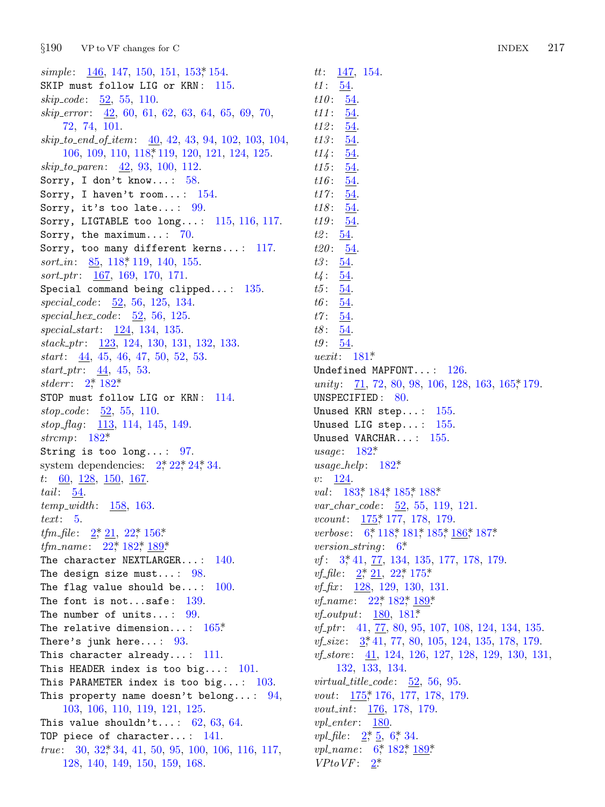$§190$ VP to VF changes for C

simple:  $146, 147, 150, 151, 153$ , 154. SKIP must follow LIG or KRN: 115.  $skip\_code: 52, 55, 110.$ skip\_error: 42, 60, 61, 62, 63, 64, 65, 69, 70, 72, 74, 101.  $skip\_to\_end\_of\_item: \underline{40}, 42, 43, 94, 102, 103, 104,$ 106, 109, 110, 118, 119, 120, 121, 124, 125.  $skip\_to\_parent: 42, 93, 100, 112.$ Sorry, I don't know...:  $58$ . Sorry, I haven't room...:  $154$ . Sorry, it's too late...:  $99$ . Sorry, LIGTABLE too  $long...: 115, 116, 117.$ Sorry, the maximum...:  $70$ . Sorry, too many different kerns...: 117. *sort\_in*:  $\underline{85}$ , 118, 119, 140, 155.  $sort\_ptr: 167, 169, 170, 171.$ Special command being clipped...:  $135$ . special\_code: 52, 56, 125, 134.  $special\_hex\_code: \underline{52}, 56, 125.$  $special\_start: 124, 134, 135.$ stack\_ptr: 123, 124, 130, 131, 132, 133.  $start:$  44, 45, 46, 47, 50, 52, 53.  $start\_ptr: 44, 45, 53.$ *stderr*:  $2^* 182^*$ STOP must follow LIG or KRN: 114.  $stop\_code: 52, 55, 110.$ stop\_flag: 113, 114, 145, 149. strcmp:  $182^*$ String is too long...:  $97$ . system dependencies:  $2^*22^*24^*34$ .  $t: \underline{60}, \underline{128}, \underline{150}, \underline{167}.$ tail:  $\underline{54}$ .  $temp\_width: 158, 163.$  $text: 5.$ *tfm\_file*:  $2, 21, 22, 156$ <sup>\*</sup> *tfm\_name*:  $22^* 182^* 189^*$ The character NEXTLARGER...: 140. The design size must...:  $98$ . The flag value should be...:  $100$ . The font is not...safe:  $139$ . The number of units...:  $99$ . The relative dimension...:  $165*$ There's junk here...:  $93$ . This character already...:  $111$ . This HEADER index is too big...:  $101$ . This PARAMETER index is too big...:  $103$ . This property name doesn't belong...:  $94$ , 103, 106, 110, 119, 121, 125. This value shouldn't...:  $62, 63, 64$ . TOP piece of character...:  $141$ . true:  $30, 32, 34, 41, 50, 95, 100, 106, 116, 117,$ 128, 140, 149, 150, 159, 168.

 $tt: \underline{147}, 154.$  $t1: \frac{54}{5}$  $t10: 54.$  $t11: 54.$  $t12: 54.$  $t13: 54.$  $t14: \frac{54}{5}$  $t15:$ 54.  $t16: 54.$  $t17:54.$  $t18: 54.$  $t19: 54.$  $t2: 54.$  $t20: 54.$  $t3: 54.$  $t_4: 54$  $t5: 54.$  $t6:$  $54$  $t\gamma$ :  $54$  $t8:$ 54.  $t9: 54.$ *uexit*:  $181^*$ Undefined MAPFONT...:  $126$ . unity: 71, 72, 80, 98, 106, 128, 163, 165,\*179. UNSPECIFIED: 80. Unused KRN step...: 155. Unused LIG step...:  $155$ . Unused VARCHAR...: 155. usage:  $182*$ usage\_help:  $182^*$  $v: 124.$ val: 183, 184, 185, 188, var\_char\_code: 52, 55, 119, 121. *vcount*:  $175$ <sup>\*</sup> 177, 178, 179. verbose: 6, 118, 181, 185, 186, 187\* version\_string:  $6^*$  $vf: 3, 41, 77, 134, 135, 177, 178, 179.$ *vf*\_file:  $2, \ 21, \ 22, \ 175$ \* *vf*<sub>-</sub>*fix*:  $\frac{128}{129}$ , 129, 130, 131. *vf\_name*:  $22^*$ ,  $182^*$ ,  $189^*$ . *vf\_output*:  $180, 181^*$  $vf_{\perp}ptr$ : 41, 77, 80, 95, 107, 108, 124, 134, 135. vf\_size: 3,\*41, 77, 80, 105, 124, 135, 178, 179. *vf\_store*:  $41, 124, 126, 127, 128, 129, 130, 131,$ 132, 133, 134. virtual\_title\_code:  $52, 56, 95$ . vout: 175, 176, 177, 178, 179. vout\_int: 176, 178, 179.  $vpl\_enter: 180$ *vpl\_file*:  $2, 5, 6, 34$ . *vpl\_name*:  $6, 182, 189$ 

 $VP to VF: \quad \underline{2^*}$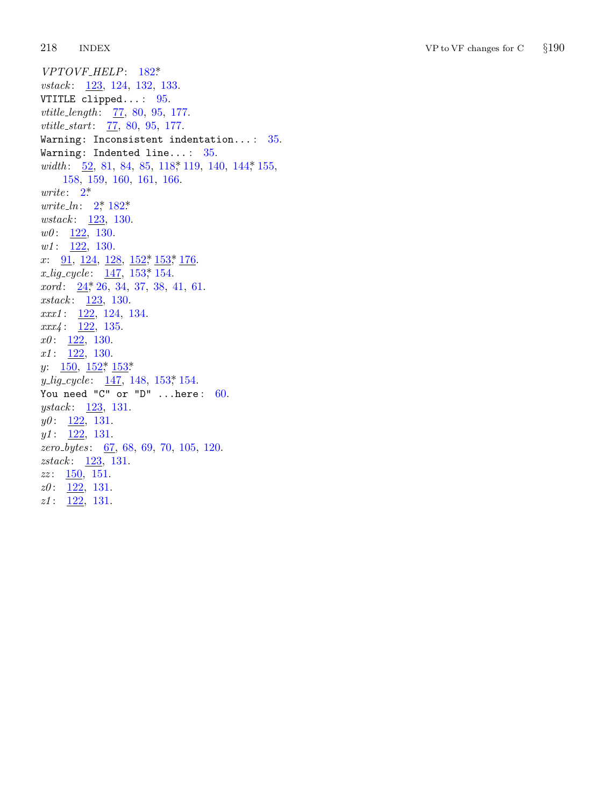218 **INDEX**   $\operatorname{VP}$  to  $\operatorname{VF}$  changes for  $\operatorname{C}$  $§190$ 

VPTOVF\_HELP: 182\* vstack: 123, 124, 132, 133. VTITLE clipped...:  $95$ . *vtitle\_length:* 77, 80, 95, 177. *vtitle\_start:* 77, 80, 95, 177. Warning: Inconsistent indentation...:  $35$ . Warning: Indented line...:  $35$ . width: 52, 81, 84, 85, 118, 119, 140, 144, 155, 158, 159, 160, 161, 166.  $write: 2^*$ *write\_ln:*  $2^{*}$ , 182<sup>\*</sup> *wstack*:  $123, 130$ .  $w0: 122, 130.$  $w1: \quad \underline{122}, \quad 130.$ x:  $91, 124, 128, 152, 153, 176$  $x_{\text{L}}\text{ig\_cycle:}$   $\frac{147}{153}$ ,  $153$ ,  $154$ .  $xord: \underline{24}^*26, 34, 37, 38, 41, 61.$  $xstack: 123, 130.$  $xxx1: \quad \underline{122}, \ 124, \ 134.$  $xxx4: \overline{122}, 135.$  $x0: \frac{122}{130}.$  $x1: \underline{122}, 130.$  $y: \quad \underline{150}, \ \underline{152}^* \ \underline{153}^*$  $y\_lig\_cycle \text{: } \underline{147}, \text{ } 148, \text{ } 153\text{*} \text{ } 154.$ You need "C" or "D" ... here:  $60$ . *ystack*:  $123, 131.$  $y0: \frac{122}{131}.$  $y1: \underline{122}, 131.$ zero\_bytes: 67, 68, 69, 70, 105, 120.  $zstack: 123, 131.$  $zz: \quad 150, \; 151.$  $z0: \underline{122}, 131.$  $z1: \frac{122}{131}.$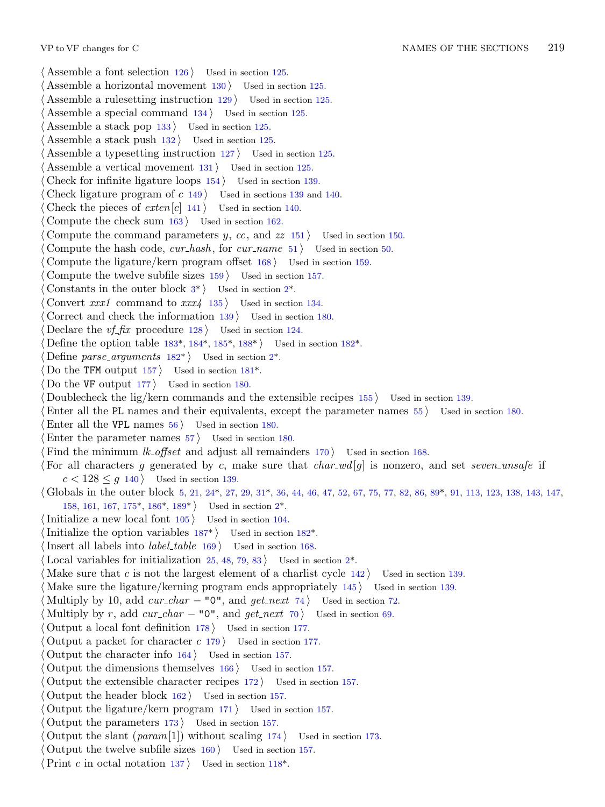*⟨* Assemble a font selection 126 *⟩* Used in section 125. *⟨* Assemble a horizontal movement 130 *⟩* Used in section 125. *⟨* Assemble a rulesetting instruction 129 *⟩* Used in section 125. *⟨* Assemble a special command 134 *⟩* Used in section 125. *⟨* Assemble a stack pop 133 *⟩* Used in section 125. *⟨* Assemble a stack push 132 *⟩* Used in section 125. *Assemble a typesetting instruction*  $127$  *Used in section 125. ⟨* Assemble a vertical movement 131 *⟩* Used in section 125. *Check for infinite ligature loops*  $154$  */* Used in section 139. *Check ligature program of <i>c* 149 *and 140.* Used in sections 139 and 140. Check the pieces of  $ext{er}[c]$  [14](#page-1-0)[1](#page-1-0)  $\}$  Used in section 140. *⟨* Compute the check sum 163 *⟩* Used in section 162. Compute the command parameters *y*, *cc*, and *zz* 151 *a* Used in section 150. *⟨* Compute the hash code, *cur hash* , for *cur name* 51 *⟩* Used in section 50. *Compute the ligature/k[ern](#page-11-0) p[rog](#page-11-0)ra[m o](#page-11-0)ff[set](#page-11-0)*  $168$  *Vsed in sect[ion](#page-10-0) 159. ⟨* Compute the twelve sub[file](#page-10-0) sizes 159 *⟩* Used i[n](#page-1-0) section 157. *Constants in the outer block*  $3^*$  *Vsed [in s](#page-9-0)ection*  $2^*$ . *⟨* Convert *xxx1* command to *xxx4* 135 *⟩* Used in section 134. *⟨* Correct and check the information 139 *⟩* Used in section 180. Declare the *vf\_fix* procedure  $128$  Used in section 124. *Define the option table 183\*, 184\*, 185\*, 188\* <i>Q* Used in section 182\*. *Define parse\_arguments*  $182^*$  Used in section  $2^*$ . Do the TFM output  $157$  Used in section  $181^*$ . *⟨* Do the VF output 177 *⟩* Used in section 180. *<u>Doublecheck the lig/kern commands and the extensible recipes 155 <i>>* Used in section 139.</u> *⟨*Enter all the PL names and thei[r eq](#page-3-0)uivalen[ts,](#page-3-0) except the parameter names 55 *⟩* Used in section 180. Enter all the V[PL](#page-8-0) na[mes](#page-11-0)  $56$  *\* Used in section 18[0.](#page-1-0) Enter the parameter names  $57$  Used in section 180. Find the minimum *lk\_offset* a[nd a](#page-11-0)djust all remaind[ers](#page-10-0)  $170$  *\* Used in section 168. *⟨* For all characters *g* generated by *c*, make sure that *char wd* [*g*] is nonzero, and set *seven unsafe* if  $c < 128 \leq g$  140 *\* Used in section 139. *⟨* Globals in the outer block 5, 21, 24\*, 27, 29, 31\*, 36, 44, 46, 47, 52, 67, 75, 77, 82, 86, 89\*, 91, 113, 123, 138, 143, 147, 158, 161, 167, 175\*, 186\*, 189\* *⟩* Used in section 2\*. *⟨*Initialize a new local font 105 *⟩* Used in section 104. *Initialize the option variables*  $187^*$  *Vsed in section 182\*. l*Insert all labels into *label\_table* 169 *\* Used in section 168. Local variables for initialization  $25, 48, 79, 83$  Used in section  $2^*$ . Make sure that *c* is not the largest element of a charlist cycle 142 *a* Used in section 139. *⟨* Make sure the ligature/kerning program ends appropriately 145 *⟩* Used in section 139. *Multiply by 10, add*  $cur\_char - "0",$  *and*  $get\_next$  *74)* Used in section 72. *Multiply by r, add*  $cur\_char - "0",$  *and*  $get\_next$  *70 Used in section 69. ⟨* Output a local font definition 178 *⟩* Used in section 177. *⟨* Output a packet for character *c* 179 *⟩* Used in section 177. *⟨* Output the character info 164 *⟩* Used in section 157. *⟨* Output the dimensions themselves 166 *⟩* Used in section 157. *⟨* Output the extensible character recipes 172 *⟩* [U](#page-5-0)sed in section 157. *⟨* Output the header block 162 *⟩* Used in section 157. *⟨* Output the ligature/kern program 171 *⟩* Used in section 157. *⟨* Output the parameters 173 *⟩* Used in section 157. Output the slant  $(\text{param}[1])$  without scaling  $174$  Used in section 173. *⟨* Output the twelve subfile sizes 160 *⟩* Used in section 157. *⟨*Print *c* in octal notation 137 *⟩* Used in section 118\*.